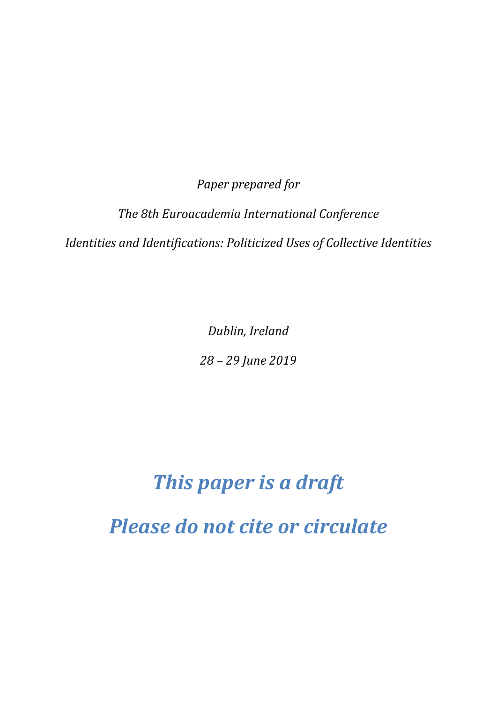*Paper prepared for* 

*The 8th Euroacademia International Conference*

*Identities and Identifications: Politicized Uses of Collective Identities*

*Dublin, Ireland*

*28 – 29 June 2019*

## *This paper is a draft Please do not cite or circulate*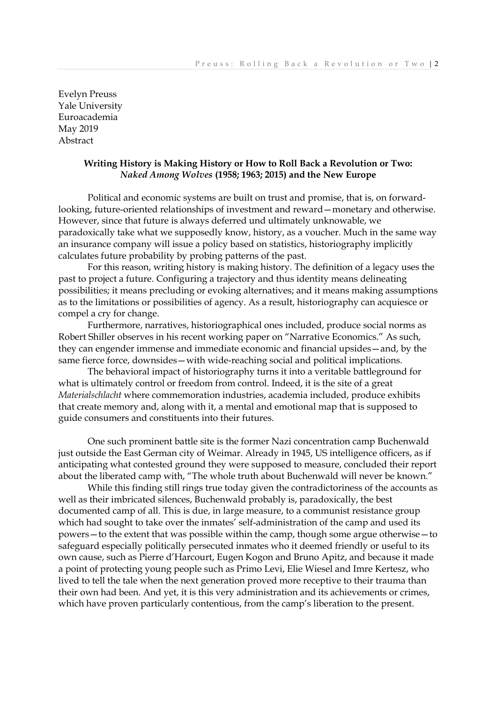Evelyn Preuss Yale University Euroacademia May 2019 Abstract

## **Writing History is Making History or How to Roll Back a Revolution or Two:** *Naked Among Wolves* **(1958; 1963; 2015) and the New Europe**

Political and economic systems are built on trust and promise, that is, on forwardlooking, future-oriented relationships of investment and reward—monetary and otherwise. However, since that future is always deferred und ultimately unknowable, we paradoxically take what we supposedly know, history, as a voucher. Much in the same way an insurance company will issue a policy based on statistics, historiography implicitly calculates future probability by probing patterns of the past.

For this reason, writing history is making history. The definition of a legacy uses the past to project a future. Configuring a trajectory and thus identity means delineating possibilities; it means precluding or evoking alternatives; and it means making assumptions as to the limitations or possibilities of agency. As a result, historiography can acquiesce or compel a cry for change.

Furthermore, narratives, historiographical ones included, produce social norms as Robert Shiller observes in his recent working paper on "Narrative Economics." As such, they can engender immense and immediate economic and financial upsides—and, by the same fierce force, downsides—with wide-reaching social and political implications.

The behavioral impact of historiography turns it into a veritable battleground for what is ultimately control or freedom from control. Indeed, it is the site of a great *Materialschlacht* where commemoration industries, academia included, produce exhibits that create memory and, along with it, a mental and emotional map that is supposed to guide consumers and constituents into their futures.

One such prominent battle site is the former Nazi concentration camp Buchenwald just outside the East German city of Weimar. Already in 1945, US intelligence officers, as if anticipating what contested ground they were supposed to measure, concluded their report about the liberated camp with, "The whole truth about Buchenwald will never be known."

While this finding still rings true today given the contradictoriness of the accounts as well as their imbricated silences, Buchenwald probably is, paradoxically, the best documented camp of all. This is due, in large measure, to a communist resistance group which had sought to take over the inmates' self-administration of the camp and used its powers—to the extent that was possible within the camp, though some argue otherwise—to safeguard especially politically persecuted inmates who it deemed friendly or useful to its own cause, such as Pierre d'Harcourt, Eugen Kogon and Bruno Apitz, and because it made a point of protecting young people such as Primo Levi, Elie Wiesel and Imre Kertesz, who lived to tell the tale when the next generation proved more receptive to their trauma than their own had been. And yet, it is this very administration and its achievements or crimes, which have proven particularly contentious, from the camp's liberation to the present.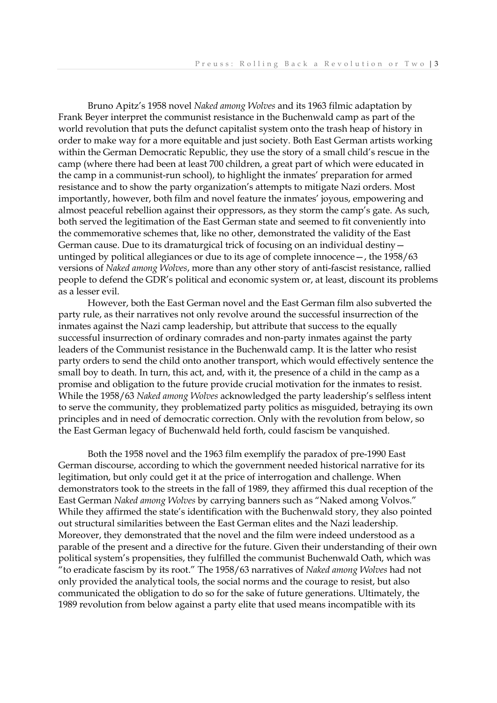Bruno Apitz's 1958 novel *Naked among Wolves* and its 1963 filmic adaptation by Frank Beyer interpret the communist resistance in the Buchenwald camp as part of the world revolution that puts the defunct capitalist system onto the trash heap of history in order to make way for a more equitable and just society. Both East German artists working within the German Democratic Republic, they use the story of a small child's rescue in the camp (where there had been at least 700 children, a great part of which were educated in the camp in a communist-run school), to highlight the inmates' preparation for armed resistance and to show the party organization's attempts to mitigate Nazi orders. Most importantly, however, both film and novel feature the inmates' joyous, empowering and almost peaceful rebellion against their oppressors, as they storm the camp's gate. As such, both served the legitimation of the East German state and seemed to fit conveniently into the commemorative schemes that, like no other, demonstrated the validity of the East German cause. Due to its dramaturgical trick of focusing on an individual destiny untinged by political allegiances or due to its age of complete innocence—, the 1958/63 versions of *Naked among Wolves*, more than any other story of anti-fascist resistance, rallied people to defend the GDR's political and economic system or, at least, discount its problems as a lesser evil.

However, both the East German novel and the East German film also subverted the party rule, as their narratives not only revolve around the successful insurrection of the inmates against the Nazi camp leadership, but attribute that success to the equally successful insurrection of ordinary comrades and non-party inmates against the party leaders of the Communist resistance in the Buchenwald camp. It is the latter who resist party orders to send the child onto another transport, which would effectively sentence the small boy to death. In turn, this act, and, with it, the presence of a child in the camp as a promise and obligation to the future provide crucial motivation for the inmates to resist. While the 1958/63 *Naked among Wolves* acknowledged the party leadership's selfless intent to serve the community, they problematized party politics as misguided, betraying its own principles and in need of democratic correction. Only with the revolution from below, so the East German legacy of Buchenwald held forth, could fascism be vanquished.

Both the 1958 novel and the 1963 film exemplify the paradox of pre-1990 East German discourse, according to which the government needed historical narrative for its legitimation, but only could get it at the price of interrogation and challenge. When demonstrators took to the streets in the fall of 1989, they affirmed this dual reception of the East German *Naked among Wolves* by carrying banners such as "Naked among Volvos." While they affirmed the state's identification with the Buchenwald story, they also pointed out structural similarities between the East German elites and the Nazi leadership. Moreover, they demonstrated that the novel and the film were indeed understood as a parable of the present and a directive for the future. Given their understanding of their own political system's propensities, they fulfilled the communist Buchenwald Oath, which was "to eradicate fascism by its root." The 1958/63 narratives of *Naked among Wolves* had not only provided the analytical tools, the social norms and the courage to resist, but also communicated the obligation to do so for the sake of future generations. Ultimately, the 1989 revolution from below against a party elite that used means incompatible with its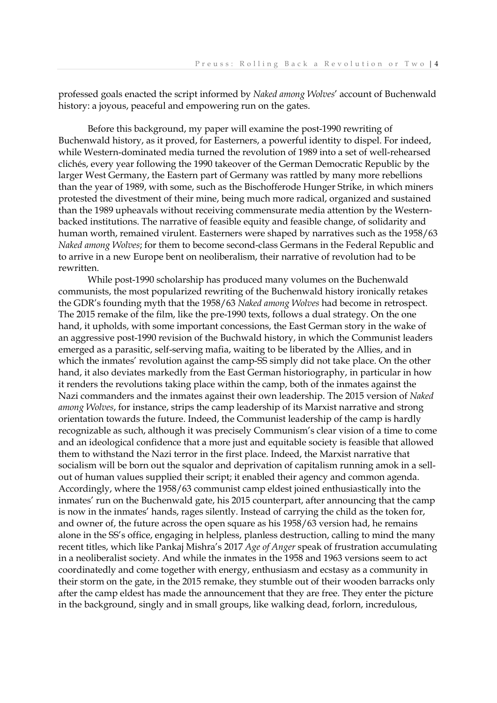professed goals enacted the script informed by *Naked among Wolves*' account of Buchenwald history: a joyous, peaceful and empowering run on the gates.

Before this background, my paper will examine the post-1990 rewriting of Buchenwald history, as it proved, for Easterners, a powerful identity to dispel. For indeed, while Western-dominated media turned the revolution of 1989 into a set of well-rehearsed clichés, every year following the 1990 takeover of the German Democratic Republic by the larger West Germany, the Eastern part of Germany was rattled by many more rebellions than the year of 1989, with some, such as the Bischofferode Hunger Strike, in which miners protested the divestment of their mine, being much more radical, organized and sustained than the 1989 upheavals without receiving commensurate media attention by the Westernbacked institutions. The narrative of feasible equity and feasible change, of solidarity and human worth, remained virulent. Easterners were shaped by narratives such as the 1958/63 *Naked among Wolves*; for them to become second-class Germans in the Federal Republic and to arrive in a new Europe bent on neoliberalism, their narrative of revolution had to be rewritten.

While post-1990 scholarship has produced many volumes on the Buchenwald communists, the most popularized rewriting of the Buchenwald history ironically retakes the GDR's founding myth that the 1958/63 *Naked among Wolves* had become in retrospect. The 2015 remake of the film, like the pre-1990 texts, follows a dual strategy. On the one hand, it upholds, with some important concessions, the East German story in the wake of an aggressive post-1990 revision of the Buchwald history, in which the Communist leaders emerged as a parasitic, self-serving mafia, waiting to be liberated by the Allies, and in which the inmates' revolution against the camp-SS simply did not take place. On the other hand, it also deviates markedly from the East German historiography, in particular in how it renders the revolutions taking place within the camp, both of the inmates against the Nazi commanders and the inmates against their own leadership. The 2015 version of *Naked among Wolves*, for instance, strips the camp leadership of its Marxist narrative and strong orientation towards the future. Indeed, the Communist leadership of the camp is hardly recognizable as such, although it was precisely Communism's clear vision of a time to come and an ideological confidence that a more just and equitable society is feasible that allowed them to withstand the Nazi terror in the first place. Indeed, the Marxist narrative that socialism will be born out the squalor and deprivation of capitalism running amok in a sellout of human values supplied their script; it enabled their agency and common agenda. Accordingly, where the 1958/63 communist camp eldest joined enthusiastically into the inmates' run on the Buchenwald gate, his 2015 counterpart, after announcing that the camp is now in the inmates' hands, rages silently. Instead of carrying the child as the token for, and owner of, the future across the open square as his 1958/63 version had, he remains alone in the SS's office, engaging in helpless, planless destruction, calling to mind the many recent titles, which like Pankaj Mishra's 2017 *Age of Anger* speak of frustration accumulating in a neoliberalist society. And while the inmates in the 1958 and 1963 versions seem to act coordinatedly and come together with energy, enthusiasm and ecstasy as a community in their storm on the gate, in the 2015 remake, they stumble out of their wooden barracks only after the camp eldest has made the announcement that they are free. They enter the picture in the background, singly and in small groups, like walking dead, forlorn, incredulous,